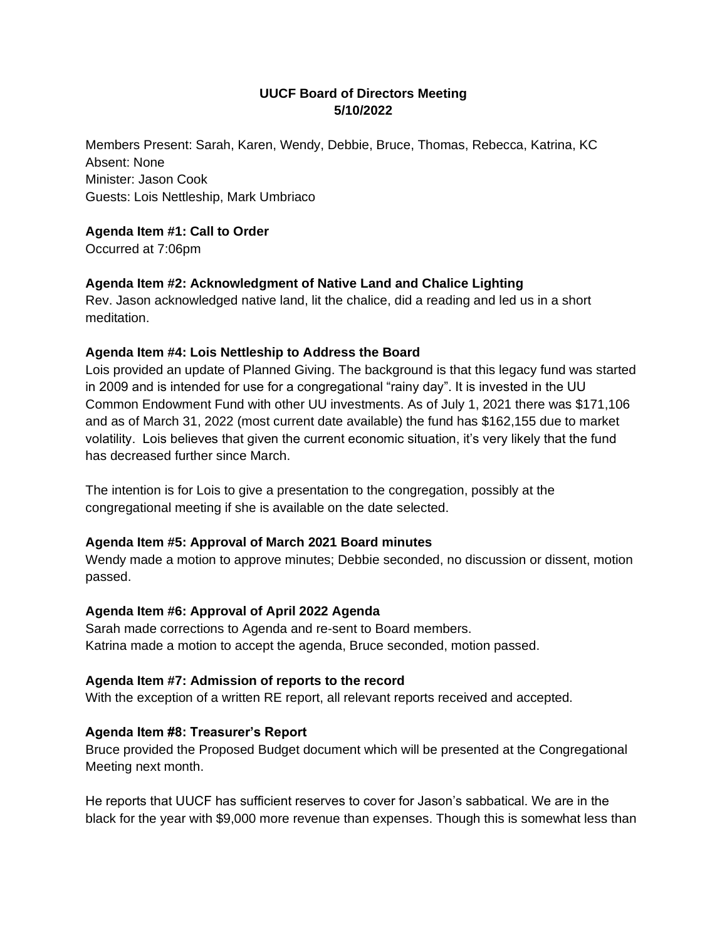# **UUCF Board of Directors Meeting 5/10/2022**

Members Present: Sarah, Karen, Wendy, Debbie, Bruce, Thomas, Rebecca, Katrina, KC Absent: None Minister: Jason Cook Guests: Lois Nettleship, Mark Umbriaco

### **Agenda Item #1: Call to Order**

Occurred at 7:06pm

## **Agenda Item #2: Acknowledgment of Native Land and Chalice Lighting**

Rev. Jason acknowledged native land, lit the chalice, did a reading and led us in a short meditation.

### **Agenda Item #4: Lois Nettleship to Address the Board**

Lois provided an update of Planned Giving. The background is that this legacy fund was started in 2009 and is intended for use for a congregational "rainy day". It is invested in the UU Common Endowment Fund with other UU investments. As of July 1, 2021 there was \$171,106 and as of March 31, 2022 (most current date available) the fund has \$162,155 due to market volatility. Lois believes that given the current economic situation, it's very likely that the fund has decreased further since March.

The intention is for Lois to give a presentation to the congregation, possibly at the congregational meeting if she is available on the date selected.

### **Agenda Item #5: Approval of March 2021 Board minutes**

Wendy made a motion to approve minutes; Debbie seconded, no discussion or dissent, motion passed.

### **Agenda Item #6: Approval of April 2022 Agenda**

Sarah made corrections to Agenda and re-sent to Board members. Katrina made a motion to accept the agenda, Bruce seconded, motion passed.

### **Agenda Item #7: Admission of reports to the record**

With the exception of a written RE report, all relevant reports received and accepted.

# **Agenda Item #8: Treasurer's Report**

Bruce provided the Proposed Budget document which will be presented at the Congregational Meeting next month.

He reports that UUCF has sufficient reserves to cover for Jason's sabbatical. We are in the black for the year with \$9,000 more revenue than expenses. Though this is somewhat less than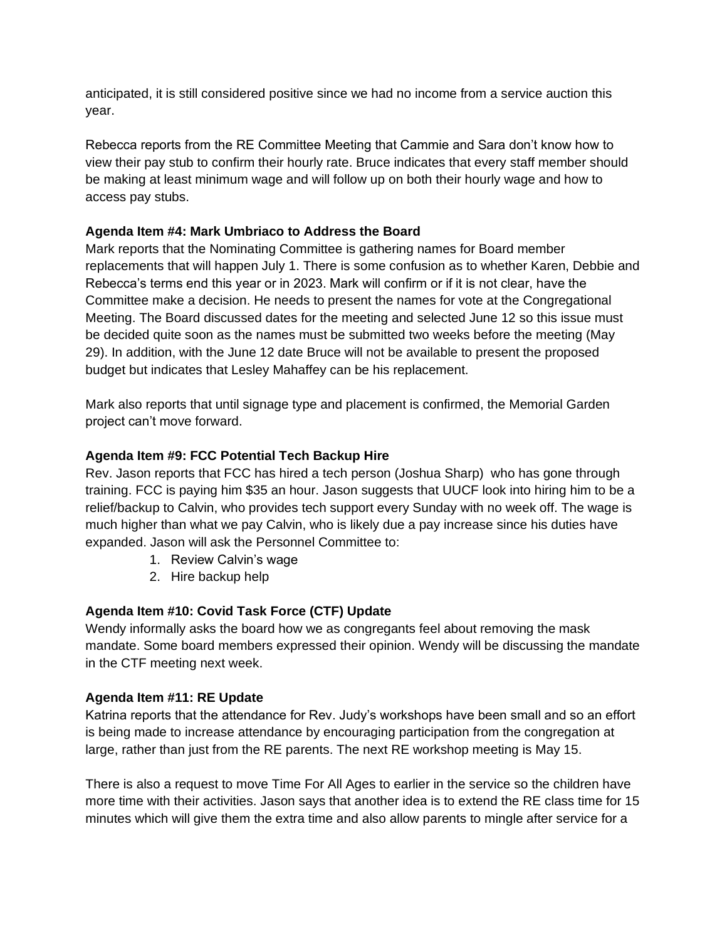anticipated, it is still considered positive since we had no income from a service auction this year.

Rebecca reports from the RE Committee Meeting that Cammie and Sara don't know how to view their pay stub to confirm their hourly rate. Bruce indicates that every staff member should be making at least minimum wage and will follow up on both their hourly wage and how to access pay stubs.

## **Agenda Item #4: Mark Umbriaco to Address the Board**

Mark reports that the Nominating Committee is gathering names for Board member replacements that will happen July 1. There is some confusion as to whether Karen, Debbie and Rebecca's terms end this year or in 2023. Mark will confirm or if it is not clear, have the Committee make a decision. He needs to present the names for vote at the Congregational Meeting. The Board discussed dates for the meeting and selected June 12 so this issue must be decided quite soon as the names must be submitted two weeks before the meeting (May 29). In addition, with the June 12 date Bruce will not be available to present the proposed budget but indicates that Lesley Mahaffey can be his replacement.

Mark also reports that until signage type and placement is confirmed, the Memorial Garden project can't move forward.

## **Agenda Item #9: FCC Potential Tech Backup Hire**

Rev. Jason reports that FCC has hired a tech person (Joshua Sharp) who has gone through training. FCC is paying him \$35 an hour. Jason suggests that UUCF look into hiring him to be a relief/backup to Calvin, who provides tech support every Sunday with no week off. The wage is much higher than what we pay Calvin, who is likely due a pay increase since his duties have expanded. Jason will ask the Personnel Committee to:

- 1. Review Calvin's wage
- 2. Hire backup help

# **Agenda Item #10: Covid Task Force (CTF) Update**

Wendy informally asks the board how we as congregants feel about removing the mask mandate. Some board members expressed their opinion. Wendy will be discussing the mandate in the CTF meeting next week.

### **Agenda Item #11: RE Update**

Katrina reports that the attendance for Rev. Judy's workshops have been small and so an effort is being made to increase attendance by encouraging participation from the congregation at large, rather than just from the RE parents. The next RE workshop meeting is May 15.

There is also a request to move Time For All Ages to earlier in the service so the children have more time with their activities. Jason says that another idea is to extend the RE class time for 15 minutes which will give them the extra time and also allow parents to mingle after service for a